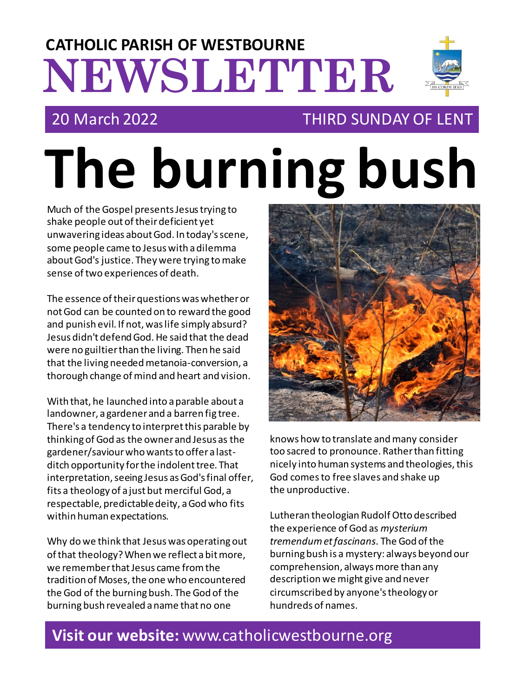## **NEWSLETTER CATHOLIC PARISH OF WESTBOURNE**

## 20 March 2022 THIRD SUNDAY OF LENT

# **The burning bush**

Much of the Gospel presents Jesus trying to shake people out of their deficient yet unwavering ideas about God. In today's scene, some people came to Jesus with a dilemma about God's justice. They were trying to make sense of two experiences of death.

The essence of their questions was whether or not God can be counted on to reward the good and punish evil. If not, was life simply absurd? Jesus didn't defend God. He said that the dead were no guiltier than the living. Then he said that the living needed metanoia-conversion, a thorough change of mind and heart and vision.

With that, he launched into a parable about a landowner, a gardener and a barren fig tree. There's a tendency to interpret this parable by thinking of God as the owner and Jesus as the gardener/saviour who wants to offer a lastditch opportunity for the indolent tree. That interpretation, seeing Jesus as God's final offer, fits a theology of a just but merciful God, a respectable, predictable deity, a God who fits within human expectations.

Why do we think that Jesus was operating out of that theology? When we reflect a bit more, we remember that Jesus came from the tradition of Moses, the one who encountered the God of the burning bush. The God of the burning bush revealed a name that no one



knows how to translate and many consider too sacred to pronounce. Rather than fitting nicely into human systems and theologies, this God comes to free slaves and shake up the unproductive.

Lutheran theologian Rudolf Otto described the experience of God as *mysterium tremendumetfascinans.* The God of the burning bush is a mystery: always beyond our comprehension, always more than any description we might give and never circumscribed by anyone's theologyor hundreds of names.

## **Visit our website:** www.catholicwestbourne.org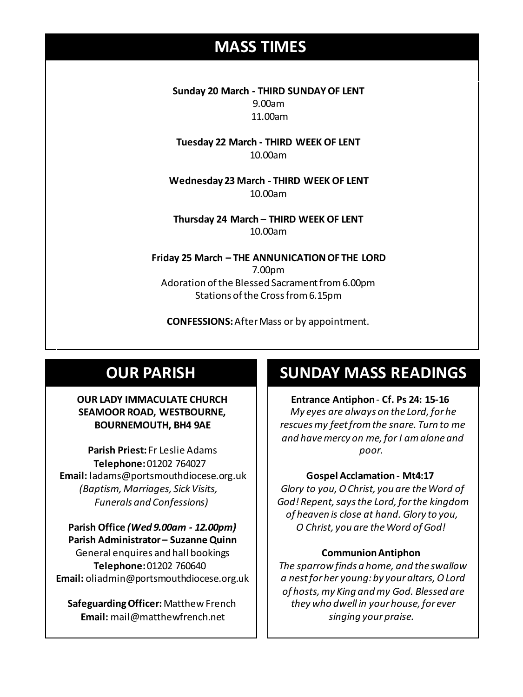## **MASS TIMES**

**Sunday 20 March - THIRD SUNDAY OF LENT** 9.00am 11.00am

**Tuesday 22 March - THIRD WEEK OF LENT** 10.00am

**Sunday 11th 9am:** *The Parish* **11am** *Tim Mc Cann* **Wednesday 14th** *Repose of the souls of Bernard Charles and Elsie May Pratt* **Wednesday 23 March - THIRD WEEK OF LENT** 10.00am

**Saturday 16th** *Rosemarie Schofield RIP* **Thursday 24 March – THIRD WEEK OF LENT Sunday 18th 11am** *The Parish*  10.00am

> **Friday 25 March – THE ANNUNICATION OF THE LORD** 7.00pm Adoration of the Blessed Sacrament from 6.00pm Stations of the Cross from 6.15pm

**CONFESSIONS:**After Mass or by appointment.

## **OUR PARISH**

#### **OUR LADY IMMACULATE CHURCH SEAMOOR ROAD, WESTBOURNE, BOURNEMOUTH, BH4 9AE**

**Parish Priest:** Fr Leslie Adams **Telephone:**01202 764027 **Email:** ladams@portsmouthdiocese.org.uk *(Baptism, Marriages, Sick Visits, Funerals and Confessions)*

**Parish Office** *(Wed 9.00am - 12.00pm)* **Parish Administrator – Suzanne Quinn** General enquires andhall bookings **Telephone:**01202 760640 **Email:** oliadmin@portsmouthdiocese.org.uk

**Safeguarding Officer:**Matthew French **Email:** mail@matthewfrench.net

## **SUNDAY MASS READINGS**

**Entrance Antiphon**- **Cf. Ps 24: 15-16** *My eyes are always on the Lord, for he rescues my feet from the snare. Turn to me and have mercy on me, for I am alone and poor.* 

#### **Gospel Acclamation** - **Mt4:17**

*Glory to you, O Christ, you are the Word of God! Repent, says the Lord, for the kingdom of heaven is close at hand. Glory to you, O Christ, you are the Word of God!* 

#### **Communion Antiphon**

*The sparrow finds a home, and the swallow a nest for her young: by your altars, O Lord of hosts, my King and my God. Blessed are they who dwell in your house, for ever singing your praise.*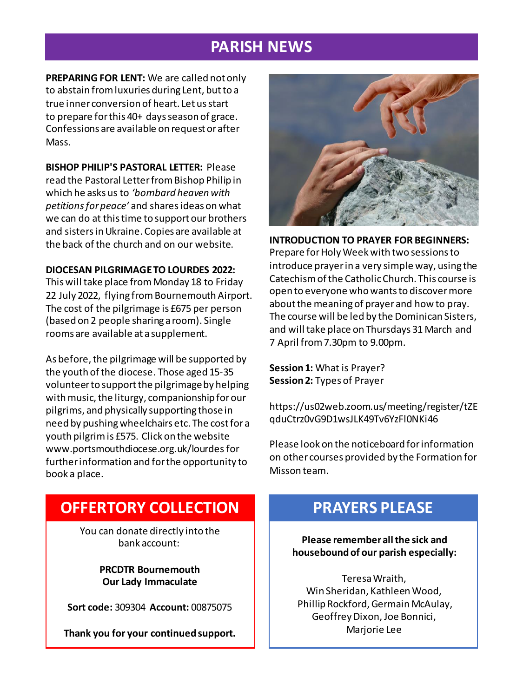## **PARISH NEWS**

**PREPARING FOR LENT:** We are called not only to abstain from luxuries during Lent, but to a true inner conversion of heart. Let us start to prepare for this 40+ days season of grace. Confessions are available on request or after Mass.

**BISHOP PHILIP'S PASTORAL LETTER:** Please read the Pastoral Letter from Bishop Philip in which he asks us to *'bombard heaven with petitions for peace'* and shares ideas on what we can do at this time to support our brothers and sisters in Ukraine. Copies are available at the back of the church and on our website.

#### **DIOCESAN PILGRIMAGE TO LOURDES 2022:**

This will take place from Monday 18 to Friday 22 July 2022, flying from Bournemouth Airport. The cost of the pilgrimage is £675 per person (based on 2 people sharing a room). Single rooms are available at a supplement.

As before, the pilgrimage will be supported by the youth of the diocese. Those aged 15-35 volunteer to support the pilgrimage by helping with music, the liturgy, companionship for our pilgrims, and physically supporting those in need by pushing wheelchairs etc. The cost for a youth pilgrim is £575. Click on the website www.portsmouthdiocese.org.uk/lourdesfor further information and for the opportunity to book a place.



**INTRODUCTION TO PRAYER FOR BEGINNERS:** Prepare for Holy Week with two sessions to introduce prayer in a very simple way, using the Catechism of the Catholic Church. This course is open to everyone who wants to discover more about the meaning of prayer and how to pray. The course will be led by the Dominican Sisters, and will take place on Thursdays 31 March and 7 April from 7.30pm to 9.00pm.

**Session 1:** What is Prayer? **Session 2:** Types of Prayer

https://us02web.zoom.us/meeting/register/tZE qduCtrz0vG9D1wsJLK49Tv6YzFl0NKi46

Please look on the noticeboard for information on other courses provided by the Formation for Misson team.

## **OFFERTORY COLLECTION**

You can donate directly into the bank account:

> **PRCDTR Bournemouth Our Lady Immaculate**

**Sort code:** 309304 **Account:** 00875075

**Thank you for your continued support.**

### **PRAYERS PLEASE**

**Please remember all the sick and housebound of our parish especially:**

Teresa Wraith, Win Sheridan, Kathleen Wood, Phillip Rockford, Germain McAulay, Geoffrey Dixon, Joe Bonnici, Marjorie Lee